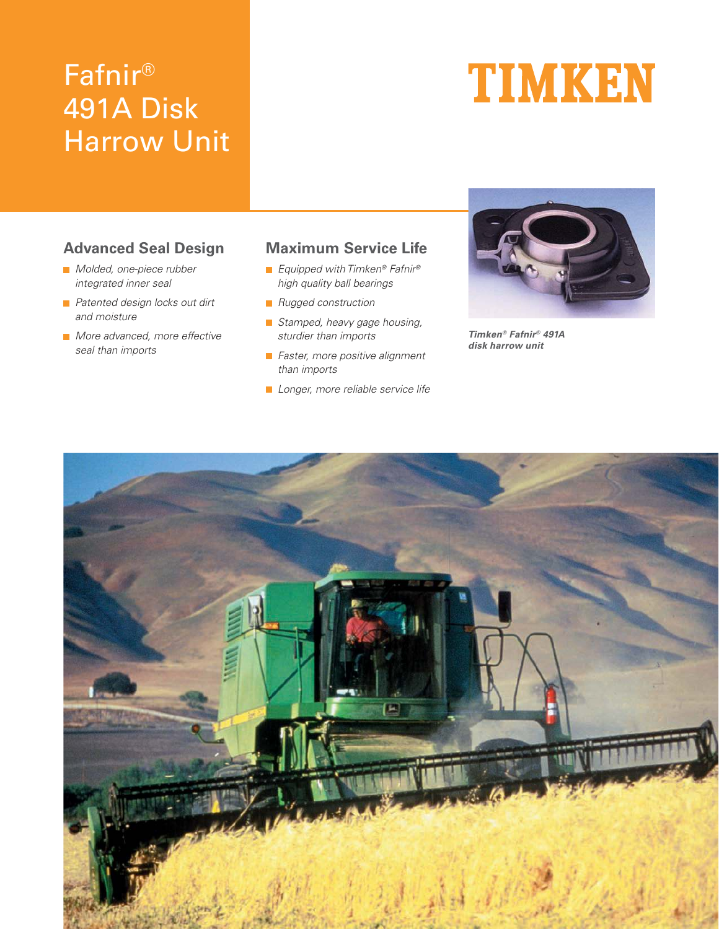# Fafnir® 491A Disk Harrow Unit

# **TIMKEN**

# **Advanced Seal Design**

- Molded, one-piece rubber integrated inner seal
- **Patented design locks out dirt** and moisture
- **More advanced, more effective** seal than imports

## **Maximum Service Life**

- Equipped with Timken<sup>®</sup> Fafnir<sup>®</sup> high quality ball bearings
- **Rugged construction**
- Stamped, heavy gage housing, sturdier than imports
- **Faster, more positive alignment** than imports
- **Longer**, more reliable service life



**Timken® Fafnir® 491A disk harrow unit**